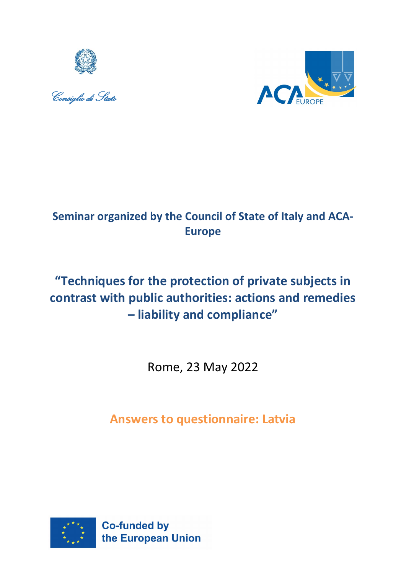





## **Seminar organized by the Council of State of Italy and ACA-Europe**

# **"Techniques for the protection of private subjects in contrast with public authorities: actions and remedies – liability and compliance"**

Rome, 23 May 2022

**Answers to questionnaire: Latvia**

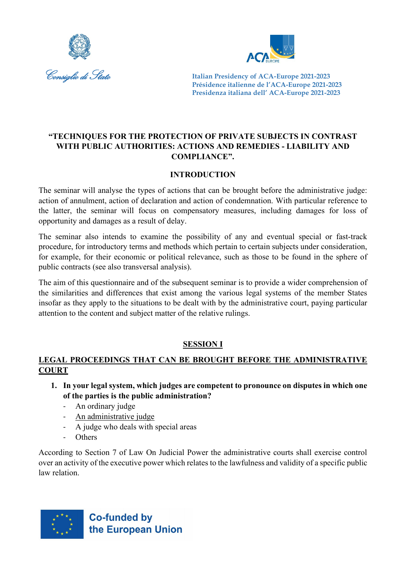



#### **"TECHNIQUES FOR THE PROTECTION OF PRIVATE SUBJECTS IN CONTRAST WITH PUBLIC AUTHORITIES: ACTIONS AND REMEDIES - LIABILITY AND COMPLIANCE".**

#### **INTRODUCTION**

The seminar will analyse the types of actions that can be brought before the administrative judge: action of annulment, action of declaration and action of condemnation. With particular reference to the latter, the seminar will focus on compensatory measures, including damages for loss of opportunity and damages as a result of delay.

The seminar also intends to examine the possibility of any and eventual special or fast-track procedure, for introductory terms and methods which pertain to certain subjects under consideration, for example, for their economic or political relevance, such as those to be found in the sphere of public contracts (see also transversal analysis).

The aim of this questionnaire and of the subsequent seminar is to provide a wider comprehension of the similarities and differences that exist among the various legal systems of the member States insofar as they apply to the situations to be dealt with by the administrative court, paying particular attention to the content and subject matter of the relative rulings.

#### **SESSION I**

#### **LEGAL PROCEEDINGS THAT CAN BE BROUGHT BEFORE THE ADMINISTRATIVE COURT**

- **1. In your legal system, which judges are competent to pronounce on disputes in which one of the parties is the public administration?**
	- An ordinary judge
	- An administrative judge
	- A judge who deals with special areas
	- **Others**

According to Section 7 of Law On Judicial Power the administrative courts shall exercise control over an activity of the executive power which relates to the lawfulness and validity of a specific public law relation.

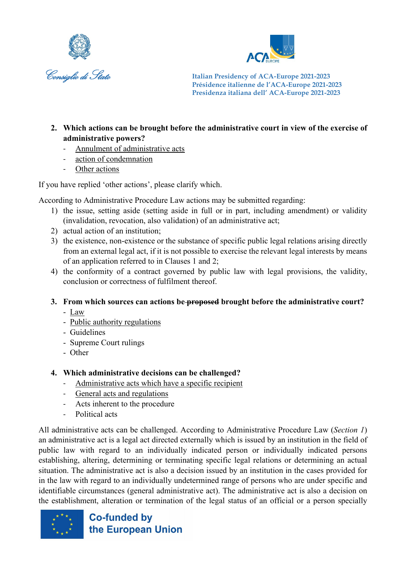



- **2. Which actions can be brought before the administrative court in view of the exercise of administrative powers?**
	- Annulment of administrative acts
	- action of condemnation
	- Other actions

If you have replied 'other actions', please clarify which.

According to Administrative Procedure Law actions may be submitted regarding:

- 1) the issue, setting aside (setting aside in full or in part, including amendment) or validity (invalidation, revocation, also validation) of an administrative act;
- 2) actual action of an institution;
- 3) the existence, non-existence or the substance of specific public legal relations arising directly from an external legal act, if it is not possible to exercise the relevant legal interests by means of an application referred to in Clauses 1 and 2;
- 4) the conformity of a contract governed by public law with legal provisions, the validity, conclusion or correctness of fulfilment thereof.
- **3. From which sources can actions be proposed brought before the administrative court?** 
	- Law
	- Public authority regulations
	- Guidelines
	- Supreme Court rulings
	- Other

#### **4. Which administrative decisions can be challenged?**

- Administrative acts which have a specific recipient
- General acts and regulations
- Acts inherent to the procedure
- Political acts

All administrative acts can be challenged. According to Administrative Procedure Law (*Section 1*) an administrative act is a legal act directed externally which is issued by an institution in the field of public law with regard to an individually indicated person or individually indicated persons establishing, altering, determining or terminating specific legal relations or determining an actual situation. The administrative act is also a decision issued by an institution in the cases provided for in the law with regard to an individually undetermined range of persons who are under specific and identifiable circumstances (general administrative act). The administrative act is also a decision on the establishment, alteration or termination of the legal status of an official or a person specially

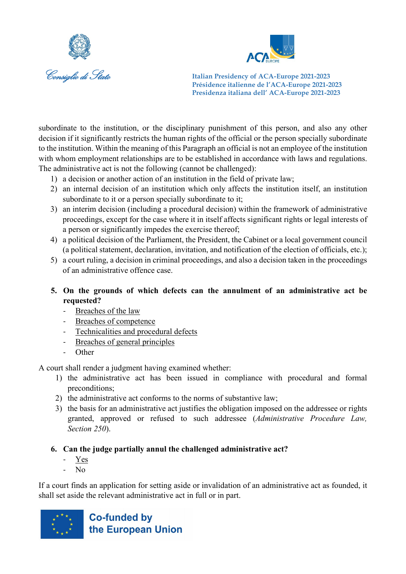



subordinate to the institution, or the disciplinary punishment of this person, and also any other decision if it significantly restricts the human rights of the official or the person specially subordinate to the institution. Within the meaning of this Paragraph an official is not an employee of the institution with whom employment relationships are to be established in accordance with laws and regulations. The administrative act is not the following (cannot be challenged):

- 1) a decision or another action of an institution in the field of private law;
- 2) an internal decision of an institution which only affects the institution itself, an institution subordinate to it or a person specially subordinate to it;
- 3) an interim decision (including a procedural decision) within the framework of administrative proceedings, except for the case where it in itself affects significant rights or legal interests of a person or significantly impedes the exercise thereof;
- 4) a political decision of the Parliament, the President, the Cabinet or a local government council (a political statement, declaration, invitation, and notification of the election of officials, etc.);
- 5) a court ruling, a decision in criminal proceedings, and also a decision taken in the proceedings of an administrative offence case.

#### **5. On the grounds of which defects can the annulment of an administrative act be requested?**

- Breaches of the law
- Breaches of competence
- Technicalities and procedural defects
- Breaches of general principles
- **Other**

A court shall render a judgment having examined whether:

- 1) the administrative act has been issued in compliance with procedural and formal preconditions;
- 2) the administrative act conforms to the norms of substantive law;
- 3) the basis for an administrative act justifies the obligation imposed on the addressee or rights granted, approved or refused to such addressee (*Administrative Procedure Law, Section 250*).

#### **6. Can the judge partially annul the challenged administrative act?**

- Yes
- $N<sub>0</sub>$

If a court finds an application for setting aside or invalidation of an administrative act as founded, it shall set aside the relevant administrative act in full or in part.

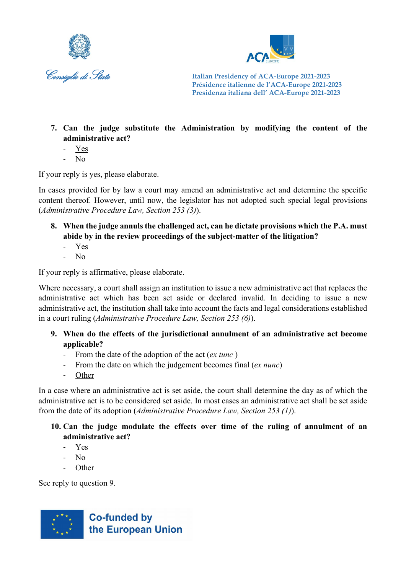



- **7. Can the judge substitute the Administration by modifying the content of the administrative act?** 
	- Yes
	- No

If your reply is yes, please elaborate.

In cases provided for by law a court may amend an administrative act and determine the specific content thereof. However, until now, the legislator has not adopted such special legal provisions (*Administrative Procedure Law, Section 253 (3)*).

- **8. When the judge annuls the challenged act, can he dictate provisions which the P.A. must abide by in the review proceedings of the subject-matter of the litigation?**
	- Yes
	- No

If your reply is affirmative, please elaborate.

Where necessary, a court shall assign an institution to issue a new administrative act that replaces the administrative act which has been set aside or declared invalid. In deciding to issue a new administrative act, the institution shall take into account the facts and legal considerations established in a court ruling (*Administrative Procedure Law, Section 253 (6)*).

- **9. When do the effects of the jurisdictional annulment of an administrative act become applicable?** 
	- From the date of the adoption of the act (*ex tunc* )
	- From the date on which the judgement becomes final (*ex nunc*)
	- **Other**

In a case where an administrative act is set aside, the court shall determine the day as of which the administrative act is to be considered set aside. In most cases an administrative act shall be set aside from the date of its adoption (*Administrative Procedure Law, Section 253 (1)*).

#### **10. Can the judge modulate the effects over time of the ruling of annulment of an administrative act?**

- Yes
- $N<sub>0</sub>$
- Other

See reply to question 9.

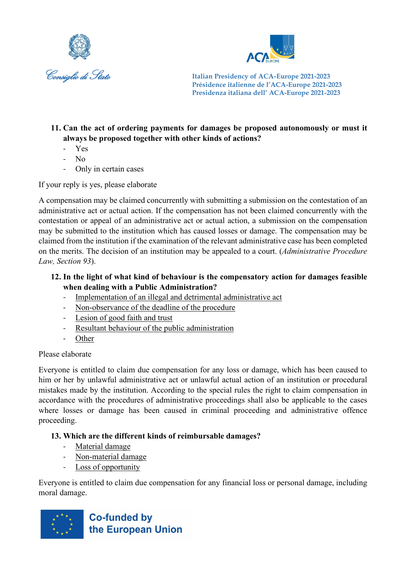



#### **11. Can the act of ordering payments for damages be proposed autonomously or must it always be proposed together with other kinds of actions?**

- Yes
- No
- Only in certain cases

If your reply is yes, please elaborate

A compensation may be claimed concurrently with submitting a submission on the contestation of an administrative act or actual action. If the compensation has not been claimed concurrently with the contestation or appeal of an administrative act or actual action, a submission on the compensation may be submitted to the institution which has caused losses or damage. The compensation may be claimed from the institution if the examination of the relevant administrative case has been completed on the merits. The decision of an institution may be appealed to a court. (*Administrative Procedure Law, Section 93*).

#### **12. In the light of what kind of behaviour is the compensatory action for damages feasible when dealing with a Public Administration?**

- Implementation of an illegal and detrimental administrative act
- Non-observance of the deadline of the procedure
- Lesion of good faith and trust
- Resultant behaviour of the public administration
- Other

#### Please elaborate

Everyone is entitled to claim due compensation for any loss or damage, which has been caused to him or her by unlawful administrative act or unlawful actual action of an institution or procedural mistakes made by the institution. According to the special rules the right to claim compensation in accordance with the procedures of administrative proceedings shall also be applicable to the cases where losses or damage has been caused in criminal proceeding and administrative offence proceeding.

## **13. Which are the different kinds of reimbursable damages?**

- Material damage
- Non-material damage
- Loss of opportunity

Everyone is entitled to claim due compensation for any financial loss or personal damage, including moral damage.

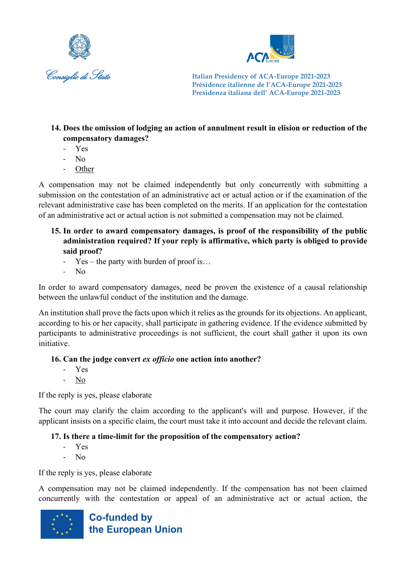



#### **14. Does the omission of lodging an action of annulment result in elision or reduction of the compensatory damages?**

- Yes
- N<sub>o</sub>
- **Other**

A compensation may not be claimed independently but only concurrently with submitting a submission on the contestation of an administrative act or actual action or if the examination of the relevant administrative case has been completed on the merits. If an application for the contestation of an administrative act or actual action is not submitted a compensation may not be claimed.

#### **15. In order to award compensatory damages, is proof of the responsibility of the public administration required? If your reply is affirmative, which party is obliged to provide said proof?**

- $Yes the party with burden of proof is...$
- No

In order to award compensatory damages, need be proven the existence of a causal relationship between the unlawful conduct of the institution and the damage.

An institution shall prove the facts upon which it relies as the grounds for its objections. An applicant, according to his or her capacity, shall participate in gathering evidence. If the evidence submitted by participants to administrative proceedings is not sufficient, the court shall gather it upon its own initiative.

#### **16. Can the judge convert** *ex officio* **one action into another?**

- Yes
- No

If the reply is yes, please elaborate

The court may clarify the claim according to the applicant's will and purpose. However, if the applicant insists on a specific claim, the court must take it into account and decide the relevant claim.

#### **17. Is there a time-limit for the proposition of the compensatory action?**

- Yes
- No

If the reply is yes, please elaborate

A compensation may not be claimed independently. If the compensation has not been claimed concurrently with the contestation or appeal of an administrative act or actual action, the

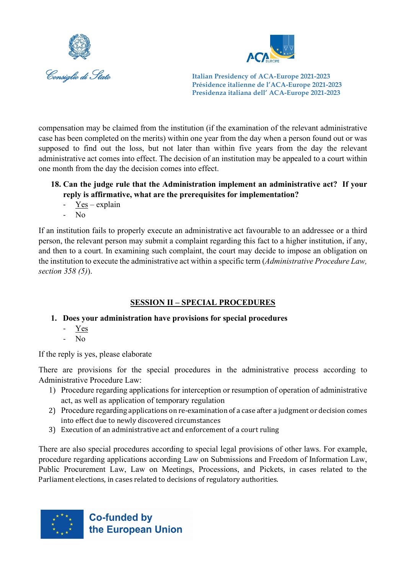



compensation may be claimed from the institution (if the examination of the relevant administrative case has been completed on the merits) within one year from the day when a person found out or was supposed to find out the loss, but not later than within five years from the day the relevant administrative act comes into effect. The decision of an institution may be appealed to a court within one month from the day the decision comes into effect.

#### **18. Can the judge rule that the Administration implement an administrative act? If your reply is affirmative, what are the prerequisites for implementation?**

- Yes explain
- $N_0$

If an institution fails to properly execute an administrative act favourable to an addressee or a third person, the relevant person may submit a complaint regarding this fact to a higher institution, if any, and then to a court. In examining such complaint, the court may decide to impose an obligation on the institution to execute the administrative act within a specific term (*Administrative Procedure Law, section 358 (5)*).

## **SESSION II – SPECIAL PROCEDURES**

#### **1. Does your administration have provisions for special procedures**

- Yes
- No

If the reply is yes, please elaborate

There are provisions for the special procedures in the administrative process according to Administrative Procedure Law:

- 1) Procedure regarding applications for interception or resumption of operation of administrative act, as well as application of temporary regulation
- 2) Procedure regarding applications on re-examination of a case after a judgment or decision comes into effect due to newly discovered circumstances
- 3) Execution of an administrative act and enforcement of a court ruling

There are also special procedures according to special legal provisions of other laws. For example, procedure regarding applications according Law on Submissions and Freedom of Information Law, Public Procurement Law, Law on Meetings, Processions, and Pickets, in cases related to the Parliament elections, in cases related to decisions of regulatory authorities.

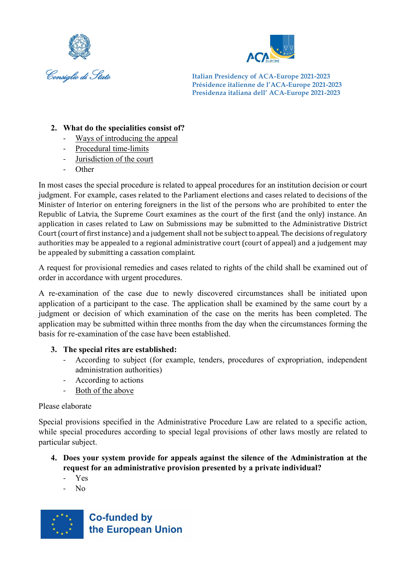



#### **2. What do the specialities consist of?**

- Ways of introducing the appeal
- Procedural time-limits
- Jurisdiction of the court
- **Other**

In most cases the special procedure is related to appeal procedures for an institution decision or court judgment. For example, cases related to the Parliament elections and cases related to decisions of the Minister of Interior on entering foreigners in the list of the persons who are prohibited to enter the Republic of Latvia, the Supreme Court examines as the court of the first (and the only) instance. An application in cases related to Law on Submissions may be submitted to the Administrative District Court (court of first instance) and a judgement shall not be subject to appeal. The decisions of regulatory authorities may be appealed to a regional administrative court (court of appeal) and a judgement may be appealed by submitting a cassation complaint.

A request for provisional remedies and cases related to rights of the child shall be examined out of order in accordance with urgent procedures.

A re-examination of the case due to newly discovered circumstances shall be initiated upon application of a participant to the case. The application shall be examined by the same court by a judgment or decision of which examination of the case on the merits has been completed. The application may be submitted within three months from the day when the circumstances forming the basis for re-examination of the case have been established.

#### **3. The special rites are established:**

- According to subject (for example, tenders, procedures of expropriation, independent administration authorities)
- According to actions
- Both of the above

#### Please elaborate

Special provisions specified in the Administrative Procedure Law are related to a specific action, while special procedures according to special legal provisions of other laws mostly are related to particular subject.

- **4. Does your system provide for appeals against the silence of the Administration at the request for an administrative provision presented by a private individual?**
	- Yes
	- N<sub>o</sub>

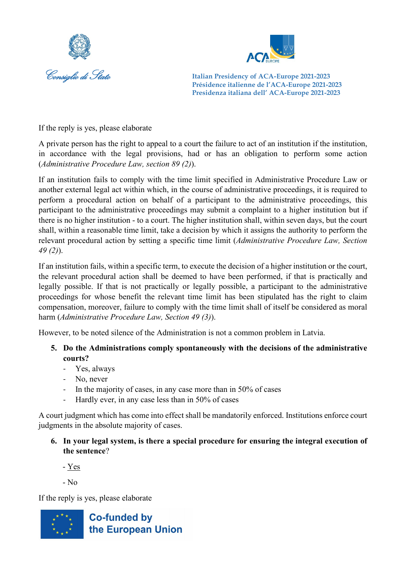



If the reply is yes, please elaborate

A private person has the right to appeal to a court the failure to act of an institution if the institution, in accordance with the legal provisions, had or has an obligation to perform some action (*Administrative Procedure Law, section 89 (2)*).

If an institution fails to comply with the time limit specified in Administrative Procedure Law or another external legal act within which, in the course of administrative proceedings, it is required to perform a procedural action on behalf of a participant to the administrative proceedings, this participant to the administrative proceedings may submit a complaint to a higher institution but if there is no higher institution - to a court. The higher institution shall, within seven days, but the court shall, within a reasonable time limit, take a decision by which it assigns the authority to perform the relevant procedural action by setting a specific time limit (*Administrative Procedure Law, Section 49 (2)*).

If an institution fails, within a specific term, to execute the decision of a higher institution or the court, the relevant procedural action shall be deemed to have been performed, if that is practically and legally possible. If that is not practically or legally possible, a participant to the administrative proceedings for whose benefit the relevant time limit has been stipulated has the right to claim compensation, moreover, failure to comply with the time limit shall of itself be considered as moral harm (*Administrative Procedure Law, Section 49 (3)*).

However, to be noted silence of the Administration is not a common problem in Latvia.

#### **5. Do the Administrations comply spontaneously with the decisions of the administrative courts?**

- Yes, always
- No, never
- In the majority of cases, in any case more than in 50% of cases
- Hardly ever, in any case less than in 50% of cases

A court judgment which has come into effect shall be mandatorily enforced. Institutions enforce court judgments in the absolute majority of cases.

**6. In your legal system, is there a special procedure for ensuring the integral execution of the sentence**?

- Yes

- No

If the reply is yes, please elaborate

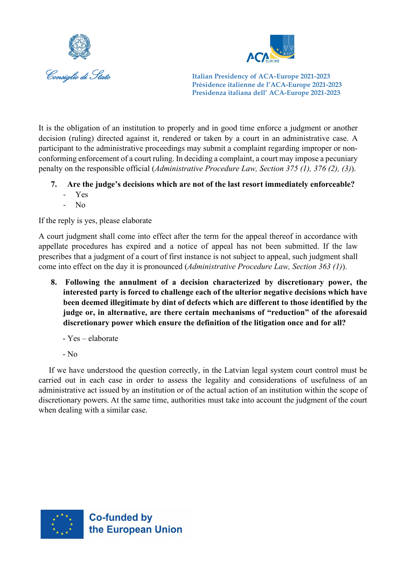



Consiglio di Stato **Italian Presidency of ACA***-***Europe 2021-2023 Présidence italienne de l'ACA-Europe 2021-2023 Presidenza italiana dell' ACA-Europe 2021-2023**

It is the obligation of an institution to properly and in good time enforce a judgment or another decision (ruling) directed against it, rendered or taken by a court in an administrative case. A participant to the administrative proceedings may submit a complaint regarding improper or nonconforming enforcement of a court ruling. In deciding a complaint, a court may impose a pecuniary penalty on the responsible official (*Administrative Procedure Law, Section 375 (1), 376 (2), (3)*).

- **7. Are the judge's decisions which are not of the last resort immediately enforceable?** 
	- Yes
	- No

If the reply is yes, please elaborate

A court judgment shall come into effect after the term for the appeal thereof in accordance with appellate procedures has expired and a notice of appeal has not been submitted. If the law prescribes that a judgment of a court of first instance is not subject to appeal, such judgment shall come into effect on the day it is pronounced (*Administrative Procedure Law, Section 363 (1)*).

- **8. Following the annulment of a decision characterized by discretionary power, the interested party is forced to challenge each of the ulterior negative decisions which have been deemed illegitimate by dint of defects which are different to those identified by the judge or, in alternative, are there certain mechanisms of "reduction" of the aforesaid discretionary power which ensure the definition of the litigation once and for all?**
	- Yes elaborate
	- No

If we have understood the question correctly, in the Latvian legal system court control must be carried out in each case in order to assess the legality and considerations of usefulness of an administrative act issued by an institution or of the actual action of an institution within the scope of discretionary powers. At the same time, authorities must take into account the judgment of the court when dealing with a similar case.

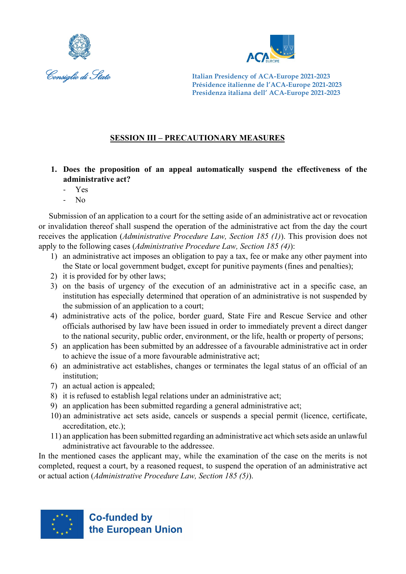



#### **SESSION III – PRECAUTIONARY MEASURES**

- **1. Does the proposition of an appeal automatically suspend the effectiveness of the administrative act?** 
	- Yes
	- No

Submission of an application to a court for the setting aside of an administrative act or revocation or invalidation thereof shall suspend the operation of the administrative act from the day the court receives the application (*Administrative Procedure Law, Section 185 (1)*). This provision does not apply to the following cases (*Administrative Procedure Law, Section 185 (4)*):

- 1) an administrative act imposes an obligation to pay a tax, fee or make any other payment into the State or local government budget, except for punitive payments (fines and penalties);
- 2) it is provided for by other laws;
- 3) on the basis of urgency of the execution of an administrative act in a specific case, an institution has especially determined that operation of an administrative is not suspended by the submission of an application to a court;
- 4) administrative acts of the police, border guard, State Fire and Rescue Service and other officials authorised by law have been issued in order to immediately prevent a direct danger to the national security, public order, environment, or the life, health or property of persons;
- 5) an application has been submitted by an addressee of a favourable administrative act in order to achieve the issue of a more favourable administrative act;
- 6) an administrative act establishes, changes or terminates the legal status of an official of an institution;
- 7) an actual action is appealed;
- 8) it is refused to establish legal relations under an administrative act;
- 9) an application has been submitted regarding a general administrative act;
- 10) an administrative act sets aside, cancels or suspends a special permit (licence, certificate, accreditation, etc.);
- 11) an application has been submitted regarding an administrative act which sets aside an unlawful administrative act favourable to the addressee.

In the mentioned cases the applicant may, while the examination of the case on the merits is not completed, request a court, by a reasoned request, to suspend the operation of an administrative act or actual action (*Administrative Procedure Law, Section 185 (5)*).

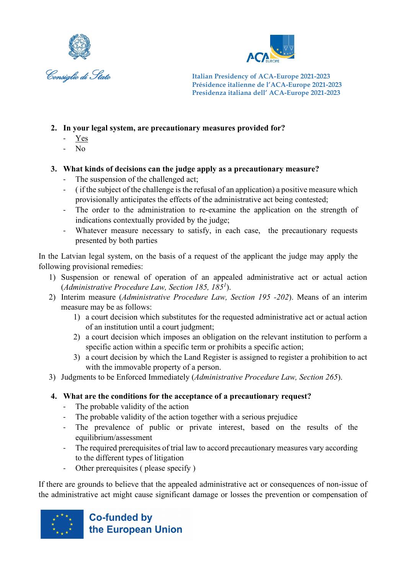



- **2. In your legal system, are precautionary measures provided for?** 
	- Yes
	- No
- **3. What kinds of decisions can the judge apply as a precautionary measure?** 
	- The suspension of the challenged act;
	- ( if the subject of the challenge is the refusal of an application) a positive measure which provisionally anticipates the effects of the administrative act being contested;
	- The order to the administration to re-examine the application on the strength of indications contextually provided by the judge;
	- Whatever measure necessary to satisfy, in each case, the precautionary requests presented by both parties

In the Latvian legal system, on the basis of a request of the applicant the judge may apply the following provisional remedies:

- 1) Suspension or renewal of operation of an appealed administrative act or actual action (*Administrative Procedure Law, Section 185, 1851* ).
- 2) Interim measure (*Administrative Procedure Law, Section 195 -202*). Means of an interim measure may be as follows:
	- 1) a court decision which substitutes for the requested administrative act or actual action of an institution until a court judgment;
	- 2) a court decision which imposes an obligation on the relevant institution to perform a specific action within a specific term or prohibits a specific action;
	- 3) a court decision by which the Land Register is assigned to register a prohibition to act with the immovable property of a person.
- 3) Judgments to be Enforced Immediately (*Administrative Procedure Law, Section 265*).
- **4. What are the conditions for the acceptance of a precautionary request?**
	- The probable validity of the action
	- The probable validity of the action together with a serious prejudice
	- The prevalence of public or private interest, based on the results of the equilibrium/assessment
	- The required prerequisites of trial law to accord precautionary measures vary according to the different types of litigation
	- Other prerequisites ( please specify )

If there are grounds to believe that the appealed administrative act or consequences of non-issue of the administrative act might cause significant damage or losses the prevention or compensation of

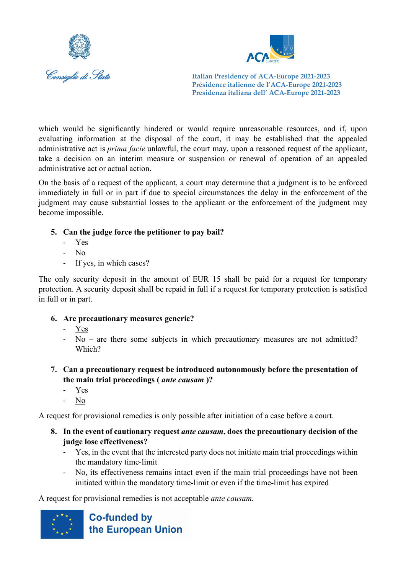



which would be significantly hindered or would require unreasonable resources, and if, upon evaluating information at the disposal of the court, it may be established that the appealed administrative act is *prima facie* unlawful, the court may, upon a reasoned request of the applicant, take a decision on an interim measure or suspension or renewal of operation of an appealed administrative act or actual action.

On the basis of a request of the applicant, a court may determine that a judgment is to be enforced immediately in full or in part if due to special circumstances the delay in the enforcement of the judgment may cause substantial losses to the applicant or the enforcement of the judgment may become impossible.

- **5. Can the judge force the petitioner to pay bail?**
	- Yes
	- No
	- If yes, in which cases?

The only security deposit in the amount of EUR 15 shall be paid for a request for temporary protection. A security deposit shall be repaid in full if a request for temporary protection is satisfied in full or in part.

#### **6. Are precautionary measures generic?**

- Yes
- No are there some subjects in which precautionary measures are not admitted? Which?
- **7. Can a precautionary request be introduced autonomously before the presentation of the main trial proceedings (** *ante causam* **)?**
	- Yes
	- No

A request for provisional remedies is only possible after initiation of a case before a court.

- **8. In the event of cautionary request** *ante causam***, does the precautionary decision of the judge lose effectiveness?**
	- Yes, in the event that the interested party does not initiate main trial proceedings within the mandatory time-limit
	- No, its effectiveness remains intact even if the main trial proceedings have not been initiated within the mandatory time-limit or even if the time-limit has expired

A request for provisional remedies is not acceptable *ante causam.*

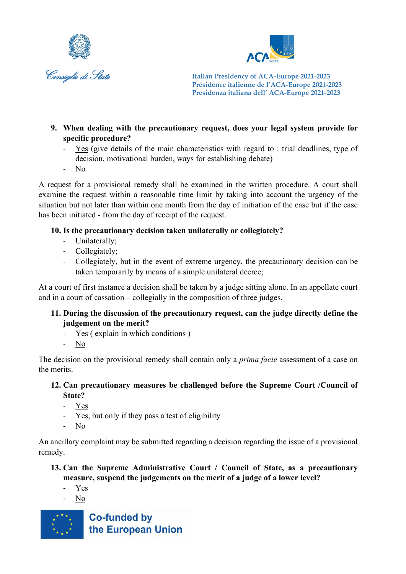



- **9. When dealing with the precautionary request, does your legal system provide for specific procedure?** 
	- Yes (give details of the main characteristics with regard to : trial deadlines, type of decision, motivational burden, ways for establishing debate)
	- No

A request for a provisional remedy shall be examined in the written procedure. A court shall examine the request within a reasonable time limit by taking into account the urgency of the situation but not later than within one month from the day of initiation of the case but if the case has been initiated - from the day of receipt of the request.

#### **10. Is the precautionary decision taken unilaterally or collegiately?**

- Unilaterally;
- Collegiately;
- Collegiately, but in the event of extreme urgency, the precautionary decision can be taken temporarily by means of a simple unilateral decree;

At a court of first instance a decision shall be taken by a judge sitting alone. In an appellate court and in a court of cassation – collegially in the composition of three judges.

#### **11. During the discussion of the precautionary request, can the judge directly define the judgement on the merit?**

- Yes ( explain in which conditions )

- No

The decision on the provisional remedy shall contain only a *prima facie* assessment of a case on the merits.

#### **12. Can precautionary measures be challenged before the Supreme Court /Council of State?**

- Yes
- Yes, but only if they pass a test of eligibility
- No

An ancillary complaint may be submitted regarding a decision regarding the issue of a provisional remedy.

- **13. Can the Supreme Administrative Court / Council of State, as a precautionary measure, suspend the judgements on the merit of a judge of a lower level?** 
	- Yes
	- No